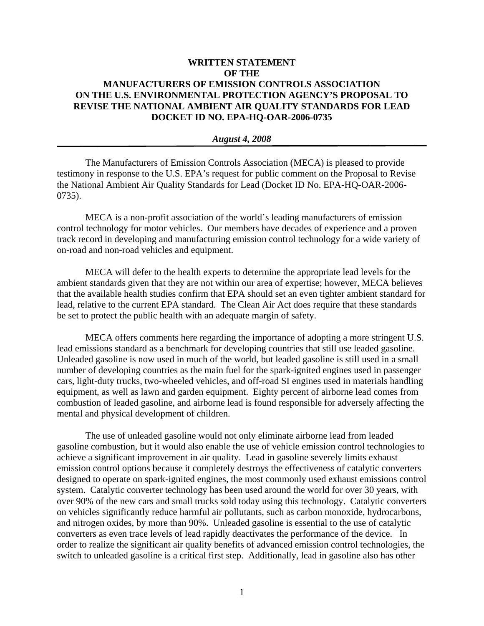## **WRITTEN STATEMENT OF THE MANUFACTURERS OF EMISSION CONTROLS ASSOCIATION ON THE U.S. ENVIRONMENTAL PROTECTION AGENCY'S PROPOSAL TO REVISE THE NATIONAL AMBIENT AIR QUALITY STANDARDS FOR LEAD DOCKET ID NO. EPA-HQ-OAR-2006-0735**

## *August 4, 2008*

The Manufacturers of Emission Controls Association (MECA) is pleased to provide testimony in response to the U.S. EPA's request for public comment on the Proposal to Revise the National Ambient Air Quality Standards for Lead (Docket ID No. EPA-HQ-OAR-2006- 0735).

MECA is a non-profit association of the world's leading manufacturers of emission control technology for motor vehicles. Our members have decades of experience and a proven track record in developing and manufacturing emission control technology for a wide variety of on-road and non-road vehicles and equipment.

MECA will defer to the health experts to determine the appropriate lead levels for the ambient standards given that they are not within our area of expertise; however, MECA believes that the available health studies confirm that EPA should set an even tighter ambient standard for lead, relative to the current EPA standard. The Clean Air Act does require that these standards be set to protect the public health with an adequate margin of safety.

MECA offers comments here regarding the importance of adopting a more stringent U.S. lead emissions standard as a benchmark for developing countries that still use leaded gasoline. Unleaded gasoline is now used in much of the world, but leaded gasoline is still used in a small number of developing countries as the main fuel for the spark-ignited engines used in passenger cars, light-duty trucks, two-wheeled vehicles, and off-road SI engines used in materials handling equipment, as well as lawn and garden equipment. Eighty percent of airborne lead comes from combustion of leaded gasoline, and airborne lead is found responsible for adversely affecting the mental and physical development of children.

The use of unleaded gasoline would not only eliminate airborne lead from leaded gasoline combustion, but it would also enable the use of vehicle emission control technologies to achieve a significant improvement in air quality. Lead in gasoline severely limits exhaust emission control options because it completely destroys the effectiveness of catalytic converters designed to operate on spark-ignited engines, the most commonly used exhaust emissions control system. Catalytic converter technology has been used around the world for over 30 years, with over 90% of the new cars and small trucks sold today using this technology. Catalytic converters on vehicles significantly reduce harmful air pollutants, such as carbon monoxide, hydrocarbons, and nitrogen oxides, by more than 90%. Unleaded gasoline is essential to the use of catalytic converters as even trace levels of lead rapidly deactivates the performance of the device. In order to realize the significant air quality benefits of advanced emission control technologies, the switch to unleaded gasoline is a critical first step. Additionally, lead in gasoline also has other